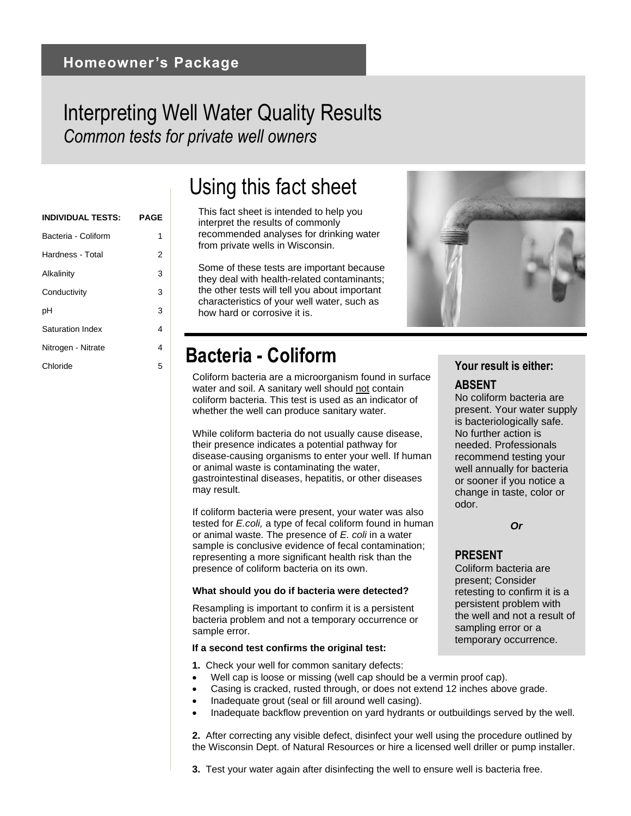### Interpreting Well Water Quality Results *Common tests for private well owners*

### **INDIVIDUAL TESTS: PAGE** Bacteria - Coliform 1 Hardness - Total 2 Alkalinity 3 Conductivity 3 pH 3 Saturation Index 4 Nitrogen - Nitrate 4 Chloride <sup>5</sup> **Your result is either:**

# Using this fact sheet

This fact sheet is intended to help you interpret the results of commonly recommended analyses for drinking water from private wells in Wisconsin.

Some of these tests are important because they deal with health-related contaminants; the other tests will tell you about important characteristics of your well water, such as how hard or corrosive it is.

### **Bacteria - Coliform**

Coliform bacteria are a microorganism found in surface water and soil. A sanitary well should not contain coliform bacteria. This test is used as an indicator of whether the well can produce sanitary water.

While coliform bacteria do not usually cause disease, their presence indicates a potential pathway for disease-causing organisms to enter your well. If human or animal waste is contaminating the water, gastrointestinal diseases, hepatitis, or other diseases may result.

If coliform bacteria were present, your water was also tested for *E.coli,* a type of fecal coliform found in human or animal waste*.* The presence of *E. coli* in a water sample is conclusive evidence of fecal contamination; representing a more significant health risk than the presence of coliform bacteria on its own.

#### **What should you do if bacteria were detected?**

Resampling is important to confirm it is a persistent bacteria problem and not a temporary occurrence or sample error.

#### **If a second test confirms the original test:**

- **1.** Check your well for common sanitary defects:
	- Well cap is loose or missing (well cap should be a vermin proof cap).
	- Casing is cracked, rusted through, or does not extend 12 inches above grade.
- Inadequate grout (seal or fill around well casing).
- Inadequate backflow prevention on yard hydrants or outbuildings served by the well.

**2.** After correcting any visible defect, disinfect your well using the procedure outlined by the Wisconsin Dept. of Natural Resources or hire a licensed well driller or pump installer.

### **ABSENT**

No coliform bacteria are present. Your water supply is bacteriologically safe. No further action is needed. Professionals recommend testing your well annually for bacteria or sooner if you notice a change in taste, color or odor.

*Or*

### **PRESENT**

Coliform bacteria are present; Consider retesting to confirm it is a persistent problem with the well and not a result of sampling error or a temporary occurrence.

**3.** Test your water again after disinfecting the well to ensure well is bacteria free.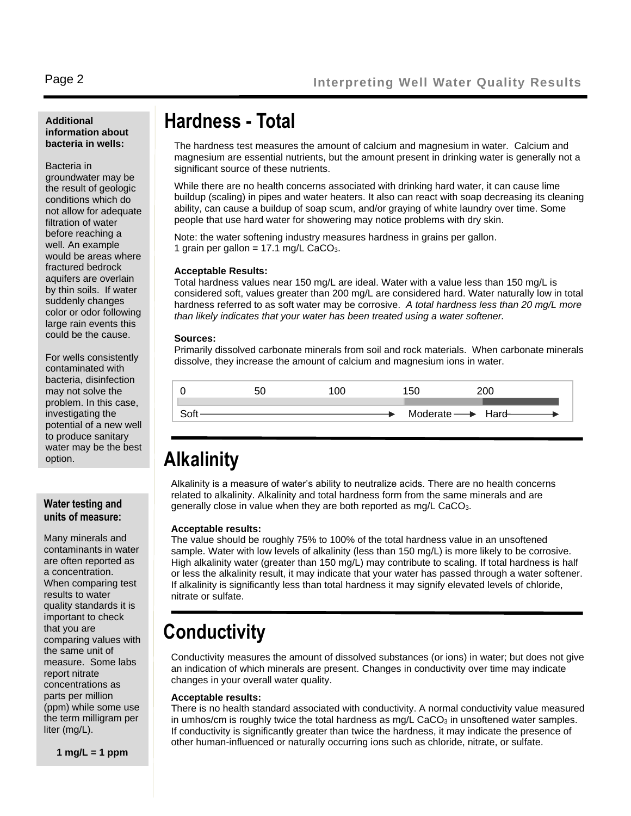### **Additional information about bacteria in wells:**

#### Bacteria in

groundwater may be the result of geologic conditions which do not allow for adequate filtration of water before reaching a well. An example would be areas where fractured bedrock aquifers are overlain by thin soils. If water suddenly changes color or odor following large rain events this could be the cause.

For wells consistently contaminated with bacteria, disinfection may not solve the problem. In this case, investigating the potential of a new well to produce sanitary water may be the best option.

### **Water testing and units of measure:**

Many minerals and contaminants in water are often reported as a concentration. When comparing test results to water quality standards it is important to check that you are comparing values with the same unit of measure. Some labs report nitrate concentrations as parts per million (ppm) while some use the term milligram per liter (mg/L).

**1 mg/L = 1 ppm**

### **Hardness - Total**

The hardness test measures the amount of calcium and magnesium in water. Calcium and magnesium are essential nutrients, but the amount present in drinking water is generally not a significant source of these nutrients.

While there are no health concerns associated with drinking hard water, it can cause lime buildup (scaling) in pipes and water heaters. It also can react with soap decreasing its cleaning ability, can cause a buildup of soap scum, and/or graying of white laundry over time. Some people that use hard water for showering may notice problems with dry skin.

Note: the water softening industry measures hardness in grains per gallon. 1 grain per gallon =  $17.1$  mg/L CaCO<sub>3</sub>.

#### **Acceptable Results:**

Total hardness values near 150 mg/L are ideal. Water with a value less than 150 mg/L is considered soft, values greater than 200 mg/L are considered hard. Water naturally low in total hardness referred to as soft water may be corrosive. *A total hardness less than 20 mg/L more than likely indicates that your water has been treated using a water softener.* 

#### **Sources:**

Primarily dissolved carbonate minerals from soil and rock materials. When carbonate minerals dissolve, they increase the amount of calcium and magnesium ions in water.



### **Alkalinity**

Alkalinity is a measure of water's ability to neutralize acids. There are no health concerns related to alkalinity. Alkalinity and total hardness form from the same minerals and are generally close in value when they are both reported as mg/L CaCO<sub>3</sub>.

#### **Acceptable results:**

The value should be roughly 75% to 100% of the total hardness value in an unsoftened sample. Water with low levels of alkalinity (less than 150 mg/L) is more likely to be corrosive. High alkalinity water (greater than 150 mg/L) may contribute to scaling. If total hardness is half or less the alkalinity result, it may indicate that your water has passed through a water softener. If alkalinity is significantly less than total hardness it may signify elevated levels of chloride, nitrate or sulfate.

### **Conductivity**

Conductivity measures the amount of dissolved substances (or ions) in water; but does not give an indication of which minerals are present. Changes in conductivity over time may indicate changes in your overall water quality.

### **Acceptable results:**

There is no health standard associated with conductivity. A normal conductivity value measured in umhos/cm is roughly twice the total hardness as  $mg/L$  CaCO $_3$  in unsoftened water samples. If conductivity is significantly greater than twice the hardness, it may indicate the presence of other human-influenced or naturally occurring ions such as chloride, nitrate, or sulfate.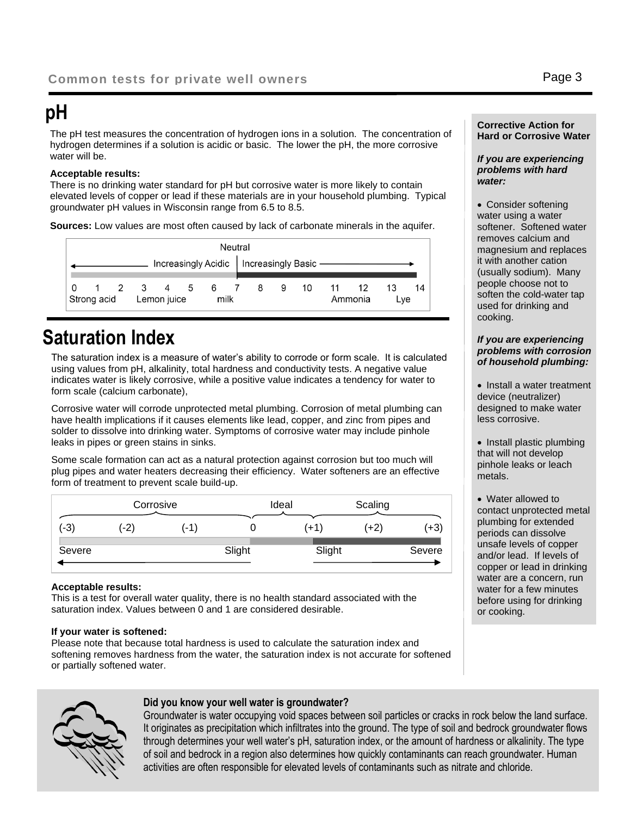# **pH**

The pH test measures the concentration of hydrogen ions in a solution. The concentration of hydrogen determines if a solution is acidic or basic. The lower the pH, the more corrosive water will be.

### **Acceptable results:**

There is no drinking water standard for pH but corrosive water is more likely to contain elevated levels of copper or lead if these materials are in your household plumbing. Typical groundwater pH values in Wisconsin range from 6.5 to 8.5.

**Sources:** Low values are most often caused by lack of carbonate minerals in the aquifer.

| Neutral     |  |             |               |                                            |  |  |  |   |   |         |     |    |    |    |
|-------------|--|-------------|---------------|--------------------------------------------|--|--|--|---|---|---------|-----|----|----|----|
|             |  |             |               | Increasingly Acidic   Increasingly Basic - |  |  |  |   |   |         |     |    |    |    |
| $\cdot$ 0   |  |             | 1 2 3 4 5 6 7 |                                            |  |  |  | 8 | 9 | 10      | 11  | 12 | 13 | 14 |
| Strong acid |  | Lemon juice |               | milk                                       |  |  |  |   |   | Ammonia | Lve |    |    |    |

### **Saturation Index**

The saturation index is a measure of water's ability to corrode or form scale. It is calculated using values from pH, alkalinity, total hardness and conductivity tests. A negative value indicates water is likely corrosive, while a positive value indicates a tendency for water to form scale (calcium carbonate),

Corrosive water will corrode unprotected metal plumbing. Corrosion of metal plumbing can have health implications if it causes elements like lead, copper, and zinc from pipes and solder to dissolve into drinking water. Symptoms of corrosive water may include pinhole leaks in pipes or green stains in sinks.

Some scale formation can act as a natural protection against corrosion but too much will plug pipes and water heaters decreasing their efficiency. Water softeners are an effective form of treatment to prevent scale build-up.

|        | Corrosive |      |        | Ideal |        | Scaling |        |
|--------|-----------|------|--------|-------|--------|---------|--------|
| $(-3)$ | (-2)      | (-1) |        |       | $(+1)$ | (+2)    | (+3)   |
| Severe |           |      | Slight |       | Slight |         | Severe |

### **Acceptable results:**

This is a test for overall water quality, there is no health standard associated with the saturation index. Values between 0 and 1 are considered desirable.

### **If your water is softened:**

Please note that because total hardness is used to calculate the saturation index and softening removes hardness from the water, the saturation index is not accurate for softened or partially softened water.



### **Did you know your well water is groundwater?**

Groundwater is water occupying void spaces between soil particles or cracks in rock below the land surface. It originates as precipitation which infiltrates into the ground. The type of soil and bedrock groundwater flows through determines your well water's pH, saturation index, or the amount of hardness or alkalinity. The type of soil and bedrock in a region also determines how quickly contaminants can reach groundwater. Human activities are often responsible for elevated levels of contaminants such as nitrate and chloride.

### **Corrective Action for Hard or Corrosive Water**

### *If you are experiencing problems with hard water:*

• Consider softening water using a water softener. Softened water removes calcium and magnesium and replaces it with another cation (usually sodium). Many people choose not to soften the cold-water tap used for drinking and cooking.

#### *If you are experiencing problems with corrosion of household plumbing:*

- Install a water treatment device (neutralizer) designed to make water less corrosive.
- Install plastic plumbing that will not develop pinhole leaks or leach metals.

• Water allowed to contact unprotected metal plumbing for extended periods can dissolve unsafe levels of copper and/or lead. If levels of copper or lead in drinking water are a concern, run water for a few minutes before using for drinking or cooking.